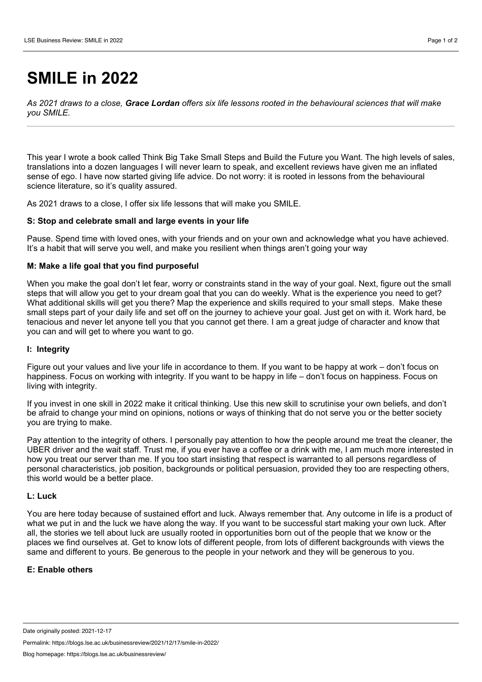# **SMILE in 2022**

As 2021 draws to a close, Grace Lordan offers six life lessons rooted in the behavioural sciences that will make *you SMILE*.

This year I wrote a book called Think Big Take Small Steps and Build the Future you Want. The high levels of sales, translations into a dozen languages I will never learn to speak, and excellent reviews have given me an inflated sense of ego. I have now started giving life advice. Do not worry: it is rooted in lessons from the behavioural science literature, so it's quality assured.

As 2021 draws to a close, I offer six life lessons that will make you SMILE.

## **S: Stop and celebrate small and large events in your life**

Pause. Spend time with loved ones, with your friends and on your own and acknowledge what you have achieved. It's a habit that will serve you well, and make you resilient when things aren't going your way

# **M: Make a life goal that you find purposeful**

When you make the goal don't let fear, worry or constraints stand in the way of your goal. Next, figure out the small steps that will allow you get to your dream goal that you can do weekly. What is the experience you need to get? What additional skills will get you there? Map the experience and skills required to your small steps. Make these small steps part of your daily life and set off on the journey to achieve your goal. Just get on with it. Work hard, be tenacious and never let anyone tell you that you cannot get there. I am agreat judge of character and know that you can and will get to where you want to go.

#### **I: Integrity**

Figure out your values and live your life in accordance to them. If you want to be happy at work – don't focus on happiness. Focus on working with integrity. If you want to be happy in life – don't focus on happiness. Focus on living with integrity.

If you invest in one skill in 2022 make it critical thinking. Use this new skill to scrutinise your own beliefs, and don't be afraid to change your mind on opinions, notions or ways of thinking that do not serve you or the better society you are trying to make.

Pay attention to the integrity of others. I personally pay attention to how the people around me treat the cleaner, the UBER driver and the wait staff. Trust me, if you ever have a coffee or a drink with me, I am much more interested in how you treat our server than me. If you too start insisting that respect is warranted to all persons regardless of personal characteristics, job position, backgrounds or political persuasion, provided they too are respecting others, this world would be a better place.

## **L: Luck**

You are here today because of sustained effort and luck. Always remember that. Any outcome in life is a product of what we put in and the luck we have along the way. If you want to be successful start making your own luck. After all, the stories we tell about luck are usually rooted in opportunities born out of the people that we know or the places we find ourselves at. Get to know lots of different people, from lots of different backgrounds with views the same and different to yours. Be generous to the people in your network and they will be generous to you.

#### **E: Enable others**

Permalink: https://blogs.lse.ac.uk/businessreview/2021/12/17/smile-in-2022/

Date originally posted: 2021-12-17